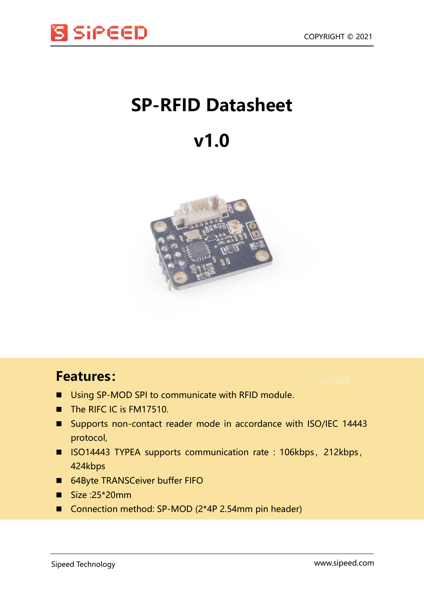

## **SP-RFID Datasheet**

## **v1.0**



## **Features:**

- Using SP-MOD SPI to communicate with RFID module.
- The RIFC IC is FM17510.
- Supports non-contact reader mode in accordance with ISO/IEC 14443 protocol,
- ISO14443 TYPEA supports communication rate : 106kbps, 212kbps, 424kbps
- 64Byte TRANSCeiver buffer FIFO
- $Size :25*20mm$
- Connection method: SP-MOD (2\*4P 2.54mm pin header)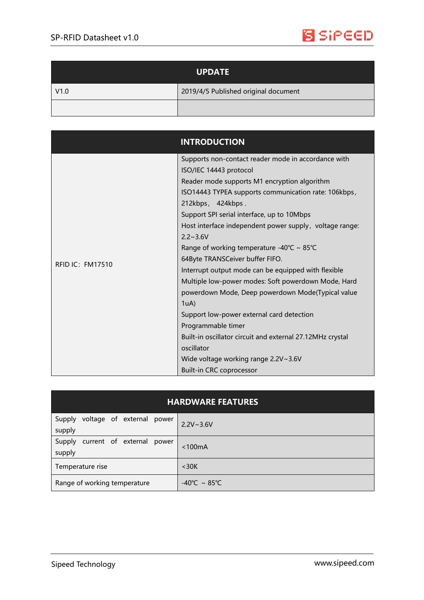

| <b>UPDATE</b> |                                      |
|---------------|--------------------------------------|
| V1.0          | 2019/4/5 Published original document |
|               |                                      |

|                         | <b>INTRODUCTION</b>                                                                                                                                                                                                                                                                                                                                                                                                                                                                                                                                                                                                                                                                                                                                                                                                  |
|-------------------------|----------------------------------------------------------------------------------------------------------------------------------------------------------------------------------------------------------------------------------------------------------------------------------------------------------------------------------------------------------------------------------------------------------------------------------------------------------------------------------------------------------------------------------------------------------------------------------------------------------------------------------------------------------------------------------------------------------------------------------------------------------------------------------------------------------------------|
| <b>RFID IC: FM17510</b> | Supports non-contact reader mode in accordance with<br>ISO/IEC 14443 protocol<br>Reader mode supports M1 encryption algorithm<br>ISO14443 TYPEA supports communication rate: 106kbps,<br>212kbps, 424kbps.<br>Support SPI serial interface, up to 10Mbps<br>Host interface independent power supply, voltage range:<br>$2.2 \sim 3.6 V$<br>Range of working temperature -40°C ~ 85°C<br>64Byte TRANSCeiver buffer FIFO.<br>Interrupt output mode can be equipped with flexible<br>Multiple low-power modes: Soft powerdown Mode, Hard<br>powerdown Mode, Deep powerdown Mode(Typical value<br>1uA)<br>Support low-power external card detection<br>Programmable timer<br>Built-in oscillator circuit and external 27.12MHz crystal<br>oscillator<br>Wide voltage working range 2.2V~3.6V<br>Built-in CRC coprocessor |

| <b>HARDWARE FEATURES</b>                      |                                   |  |  |
|-----------------------------------------------|-----------------------------------|--|--|
| voltage of external power<br>Supply<br>supply | $2.2V - 3.6V$                     |  |  |
| current of external power<br>Supply<br>supply | < 100mA                           |  |  |
| Temperature rise                              | $<$ 30 $K$                        |  |  |
| Range of working temperature                  | $-40^{\circ}$ C ~ 85 $^{\circ}$ C |  |  |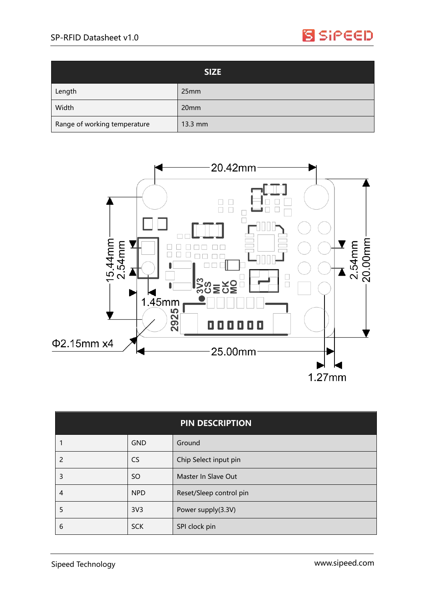

| <b>SIZE</b>                  |                  |
|------------------------------|------------------|
| Length                       | 25mm             |
| Width                        | 20 <sub>mm</sub> |
| Range of working temperature | 13.3 mm          |



| <b>PIN DESCRIPTION</b> |                 |                         |
|------------------------|-----------------|-------------------------|
|                        | <b>GND</b>      | Ground                  |
| 2                      | <b>CS</b>       | Chip Select input pin   |
| 3                      | <b>SO</b>       | Master In Slave Out     |
| 4                      | <b>NPD</b>      | Reset/Sleep control pin |
| 5                      | 3V <sub>3</sub> | Power supply(3.3V)      |
| 6                      | <b>SCK</b>      | SPI clock pin           |